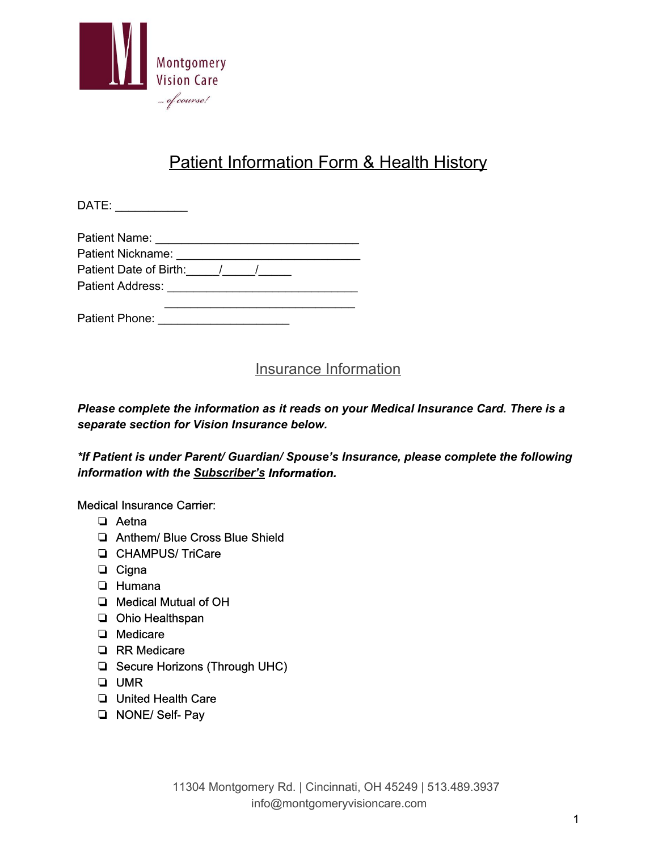

# Patient Information Form & Health History

DATE: \_\_\_\_\_\_\_\_\_\_\_

| Patient Name:          |  |
|------------------------|--|
| Patient Nickname:      |  |
| Patient Date of Birth: |  |

Patient Address: \_\_\_\_\_\_\_\_\_\_\_\_\_\_\_\_\_\_\_\_\_\_\_\_\_\_\_\_\_

\_\_\_\_\_\_\_\_\_\_\_\_\_\_\_\_\_\_\_\_\_\_\_\_\_\_\_\_\_

Patient Phone: \_\_\_\_\_\_\_\_\_\_\_\_\_\_\_\_\_\_\_\_

### Insurance Information

*Please complete the information as it reads on your Medical Insurance Card. There is a separate section for Vision Insurance below.*

*\*If Patient is under Parent/ Guardian/ Spouse's Insurance, please complete the following information with the Subscriber'sInformation.*

Medical Insurance Carrier:

- ❏ Aetna
- ❏ Anthem/ Blue Cross Blue Shield
- ❏ CHAMPUS/ TriCare
- ❏ Cigna
- ❏ Humana
- ❏ Medical Mutual of OH
- ❏ Ohio Healthspan
- ❏ Medicare
- ❏ RR Medicare
- ❏ Secure Horizons (Through UHC)
- ❏ UMR
- ❏ United Health Care
- ❏ NONE/ Self Pay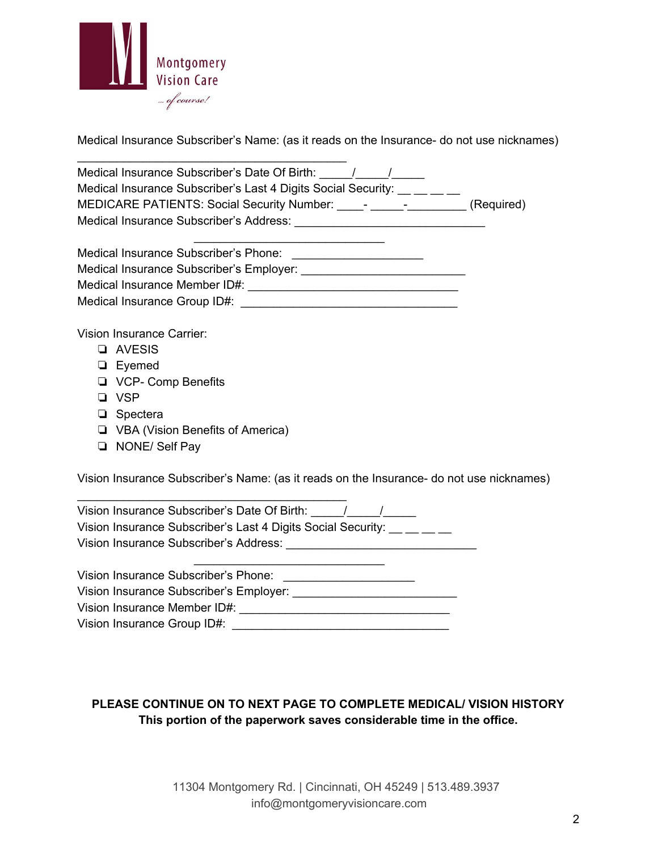

Medical Insurance Subscriber's Name: (as it reads on the Insurance- do not use nicknames)

| Medical Insurance Subscriber's Date Of Birth: / / /                                                                                                                                                                            |
|--------------------------------------------------------------------------------------------------------------------------------------------------------------------------------------------------------------------------------|
| Medical Insurance Subscriber's Last 4 Digits Social Security: __ _ _ _ _                                                                                                                                                       |
| MEDICARE PATIENTS: Social Security Number: _____- ______________(Required)                                                                                                                                                     |
|                                                                                                                                                                                                                                |
|                                                                                                                                                                                                                                |
|                                                                                                                                                                                                                                |
|                                                                                                                                                                                                                                |
|                                                                                                                                                                                                                                |
|                                                                                                                                                                                                                                |
| <b>Vision Insurance Carrier:</b>                                                                                                                                                                                               |
| <b>Q</b> AVESIS                                                                                                                                                                                                                |
| $\Box$ Eyemed                                                                                                                                                                                                                  |
| □ VCP- Comp Benefits                                                                                                                                                                                                           |
| $\neg$ VSP                                                                                                                                                                                                                     |
| $\Box$ Spectera                                                                                                                                                                                                                |
| U VBA (Vision Benefits of America)                                                                                                                                                                                             |
| <b>D</b> NONE/ Self Pay                                                                                                                                                                                                        |
|                                                                                                                                                                                                                                |
| Vision Insurance Subscriber's Name: (as it reads on the Insurance- do not use nicknames)                                                                                                                                       |
|                                                                                                                                                                                                                                |
| Vision Insurance Subscriber's Last 4 Digits Social Security: __ _ _ _                                                                                                                                                          |
|                                                                                                                                                                                                                                |
|                                                                                                                                                                                                                                |
|                                                                                                                                                                                                                                |
|                                                                                                                                                                                                                                |
|                                                                                                                                                                                                                                |
| Vision Insurance Group ID#: Network and the Contract of the Contract of the Contract of the Contract of the Contract of the Contract of the Contract of the Contract of the Contract of the Contract of the Contract of the Co |
|                                                                                                                                                                                                                                |

#### **PLEASE CONTINUE ON TO NEXT PAGE TO COMPLETE MEDICAL/ VISION HISTORY This portion of the paperwork saves considerable time in the office.**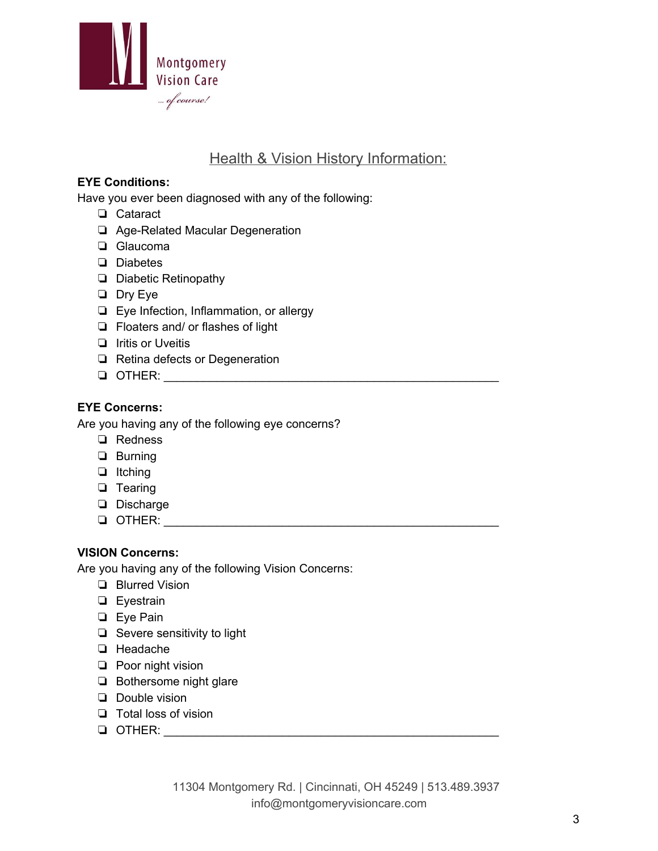

### Health & Vision History Information:

#### **EYE Conditions:**

Have you ever been diagnosed with any of the following:

- ❏ Cataract
- □ Age-Related Macular Degeneration
- ❏ Glaucoma
- ❏ Diabetes
- ❏ Diabetic Retinopathy
- ❏ Dry Eye
- ❏ Eye Infection, Inflammation, or allergy
- ❏ Floaters and/ or flashes of light
- ❏ Iritis or Uveitis
- ❏ Retina defects or Degeneration
- ❏ OTHER: \_\_\_\_\_\_\_\_\_\_\_\_\_\_\_\_\_\_\_\_\_\_\_\_\_\_\_\_\_\_\_\_\_\_\_\_\_\_\_\_\_\_\_\_\_\_\_\_\_\_\_

#### **EYE Concerns:**

Are you having any of the following eye concerns?

- ❏ Redness
- ❏ Burning
- ❏ Itching
- ❏ Tearing
- ❏ Discharge
- ❏ OTHER: \_\_\_\_\_\_\_\_\_\_\_\_\_\_\_\_\_\_\_\_\_\_\_\_\_\_\_\_\_\_\_\_\_\_\_\_\_\_\_\_\_\_\_\_\_\_\_\_\_\_\_

#### **VISION Concerns:**

Are you having any of the following Vision Concerns:

- ❏ Blurred Vision
- ❏ Eyestrain
- ❏ Eye Pain
- ❏ Severe sensitivity to light
- ❏ Headache
- ❏ Poor night vision
- ❏ Bothersome night glare
- ❏ Double vision
- ❏ Total loss of vision
- ❏ OTHER: \_\_\_\_\_\_\_\_\_\_\_\_\_\_\_\_\_\_\_\_\_\_\_\_\_\_\_\_\_\_\_\_\_\_\_\_\_\_\_\_\_\_\_\_\_\_\_\_\_\_\_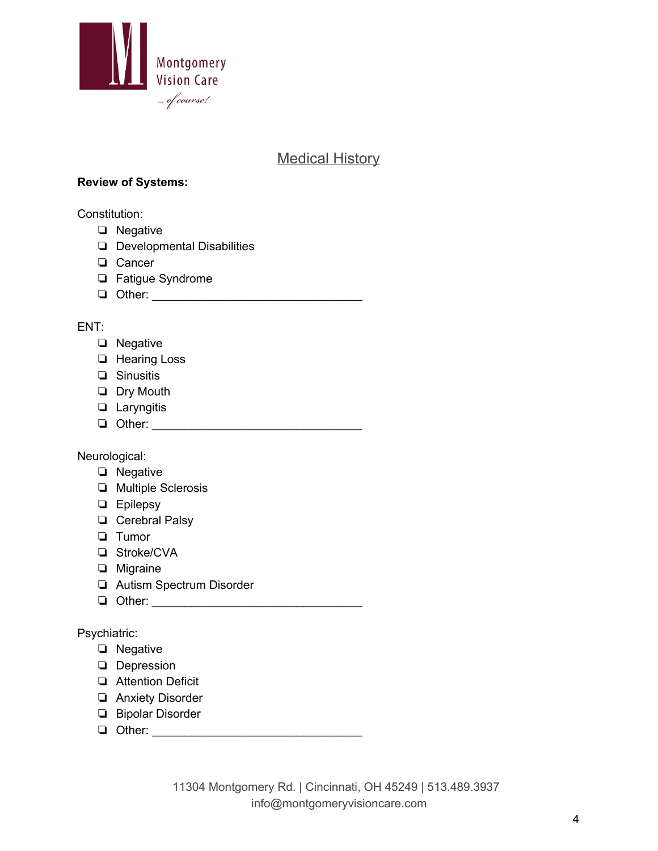

### Medical History

#### **Review of Systems:**

Constitution:

- ❏ Negative
- ❏ Developmental Disabilities
- ❏ Cancer
- ❏ Fatigue Syndrome
- ❏ Other: \_\_\_\_\_\_\_\_\_\_\_\_\_\_\_\_\_\_\_\_\_\_\_\_\_\_\_\_\_\_\_\_

#### ENT:

- ❏ Negative
- ❏ Hearing Loss
- ❏ Sinusitis
- ❏ Dry Mouth
- ❏ Laryngitis
- ❏ Other: \_\_\_\_\_\_\_\_\_\_\_\_\_\_\_\_\_\_\_\_\_\_\_\_\_\_\_\_\_\_\_\_

Neurological:

- ❏ Negative
- ❏ Multiple Sclerosis
- ❏ Epilepsy
- ❏ Cerebral Palsy
- ❏ Tumor
- ❏ Stroke/CVA
- ❏ Migraine
- ❏ Autism Spectrum Disorder
- ❏ Other: \_\_\_\_\_\_\_\_\_\_\_\_\_\_\_\_\_\_\_\_\_\_\_\_\_\_\_\_\_\_\_\_

Psychiatric:

- ❏ Negative
- ❏ Depression
- ❏ Attention Deficit
- ❏ Anxiety Disorder
- ❏ Bipolar Disorder
- ❏ Other: \_\_\_\_\_\_\_\_\_\_\_\_\_\_\_\_\_\_\_\_\_\_\_\_\_\_\_\_\_\_\_\_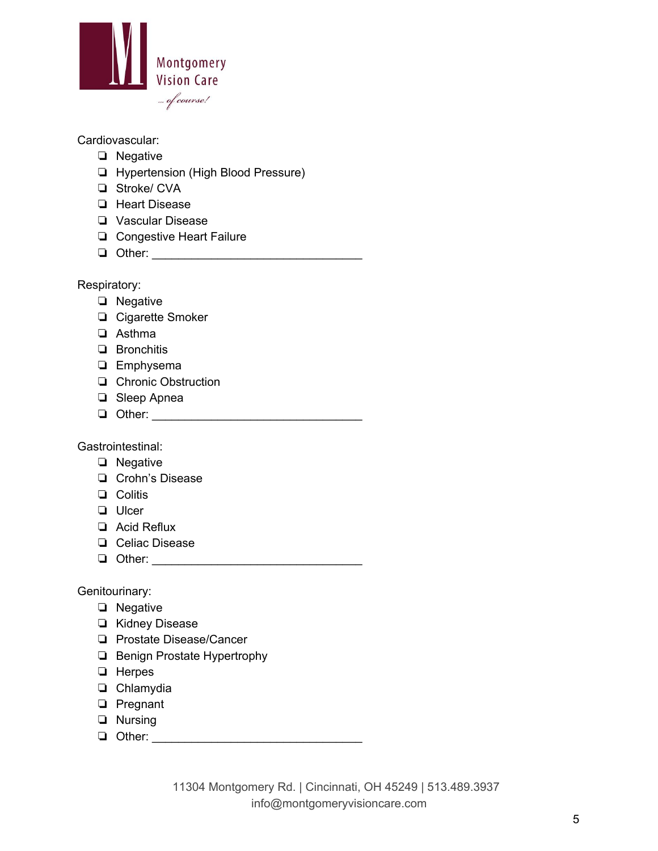

#### Cardiovascular:

- ❏ Negative
- ❏ Hypertension (High Blood Pressure)
- ❏ Stroke/ CVA
- ❏ Heart Disease
- ❏ Vascular Disease
- ❏ Congestive Heart Failure
- ❏ Other: \_\_\_\_\_\_\_\_\_\_\_\_\_\_\_\_\_\_\_\_\_\_\_\_\_\_\_\_\_\_\_\_

Respiratory:

- ❏ Negative
- ❏ Cigarette Smoker
- ❏ Asthma
- ❏ Bronchitis
- ❏ Emphysema
- ❏ Chronic Obstruction
- ❏ Sleep Apnea
- ❏ Other: \_\_\_\_\_\_\_\_\_\_\_\_\_\_\_\_\_\_\_\_\_\_\_\_\_\_\_\_\_\_\_\_

Gastrointestinal:

- ❏ Negative
- ❏ Crohn's Disease
- ❏ Colitis
- ❏ Ulcer
- ❏ Acid Reflux
- ❏ Celiac Disease
- ❏ Other: \_\_\_\_\_\_\_\_\_\_\_\_\_\_\_\_\_\_\_\_\_\_\_\_\_\_\_\_\_\_\_\_

Genitourinary:

- ❏ Negative
- ❏ Kidney Disease
- ❏ Prostate Disease/Cancer
- ❏ Benign Prostate Hypertrophy
- ❏ Herpes
- ❏ Chlamydia
- ❏ Pregnant
- ❏ Nursing
- ❏ Other: \_\_\_\_\_\_\_\_\_\_\_\_\_\_\_\_\_\_\_\_\_\_\_\_\_\_\_\_\_\_\_\_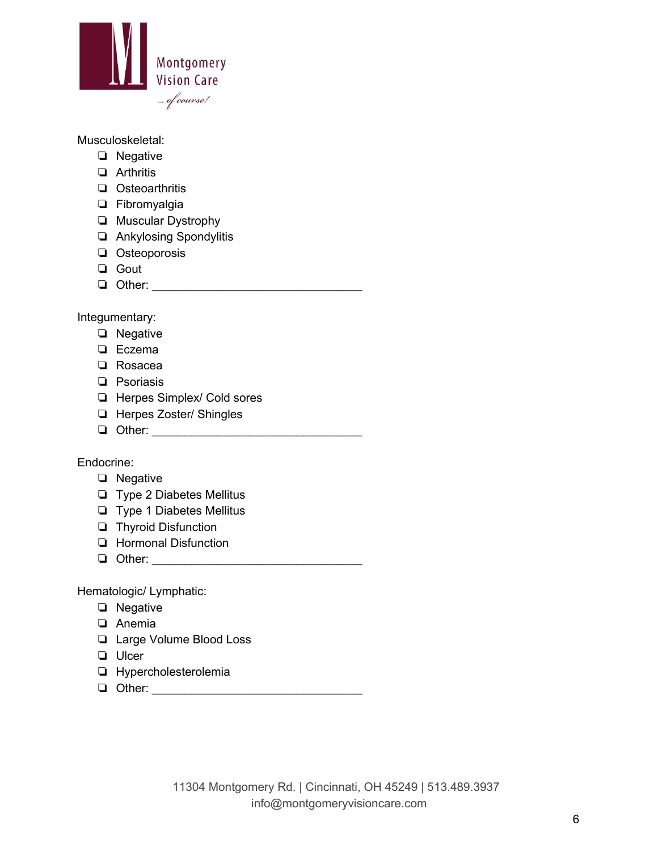

Musculoskeletal:

- ❏ Negative
- ❏ Arthritis
- ❏ Osteoarthritis
- ❏ Fibromyalgia
- ❏ Muscular Dystrophy
- ❏ Ankylosing Spondylitis
- ❏ Osteoporosis
- ❏ Gout
- ❏ Other: \_\_\_\_\_\_\_\_\_\_\_\_\_\_\_\_\_\_\_\_\_\_\_\_\_\_\_\_\_\_\_\_

Integumentary:

- ❏ Negative
- ❏ Eczema
- ❏ Rosacea
- ❏ Psoriasis
- ❏ Herpes Simplex/ Cold sores
- ❏ Herpes Zoster/ Shingles
- ❏ Other: \_\_\_\_\_\_\_\_\_\_\_\_\_\_\_\_\_\_\_\_\_\_\_\_\_\_\_\_\_\_\_\_

Endocrine:

#### ❏ Negative

- ❏ Type 2 Diabetes Mellitus
- ❏ Type 1 Diabetes Mellitus
- ❏ Thyroid Disfunction
- ❏ Hormonal Disfunction
- ❏ Other: \_\_\_\_\_\_\_\_\_\_\_\_\_\_\_\_\_\_\_\_\_\_\_\_\_\_\_\_\_\_\_\_

Hematologic/ Lymphatic:

- ❏ Negative
- ❏ Anemia
- ❏ Large Volume Blood Loss
- ❏ Ulcer
- ❏ Hypercholesterolemia
- ❏ Other: \_\_\_\_\_\_\_\_\_\_\_\_\_\_\_\_\_\_\_\_\_\_\_\_\_\_\_\_\_\_\_\_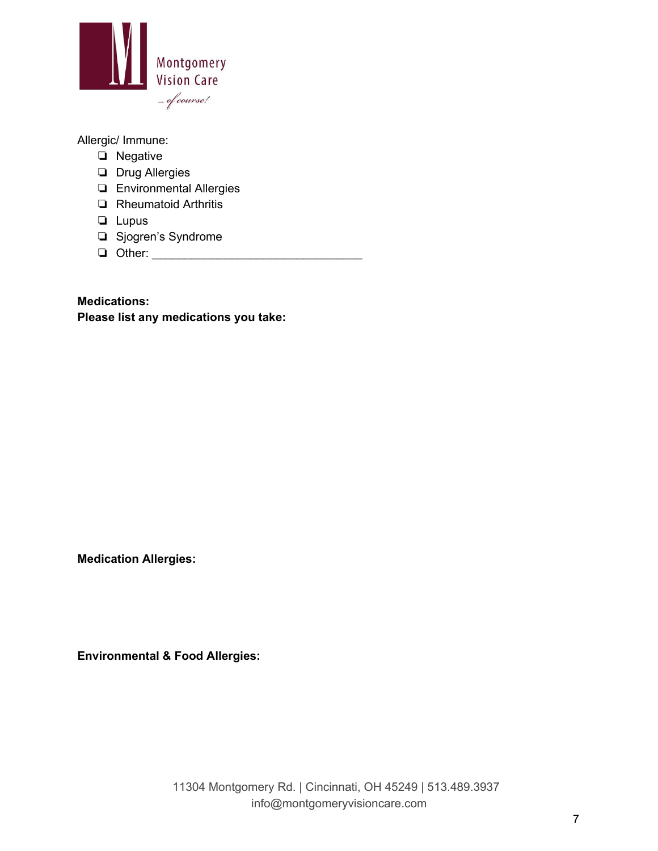

Allergic/ Immune:

- ❏ Negative
- ❏ Drug Allergies
- ❏ Environmental Allergies
- ❏ Rheumatoid Arthritis
- ❏ Lupus
- ❏ Sjogren's Syndrome
- ❏ Other: \_\_\_\_\_\_\_\_\_\_\_\_\_\_\_\_\_\_\_\_\_\_\_\_\_\_\_\_\_\_\_\_

**Medications: Please list any medications you take:**

**Medication Allergies:**

**Environmental & Food Allergies:**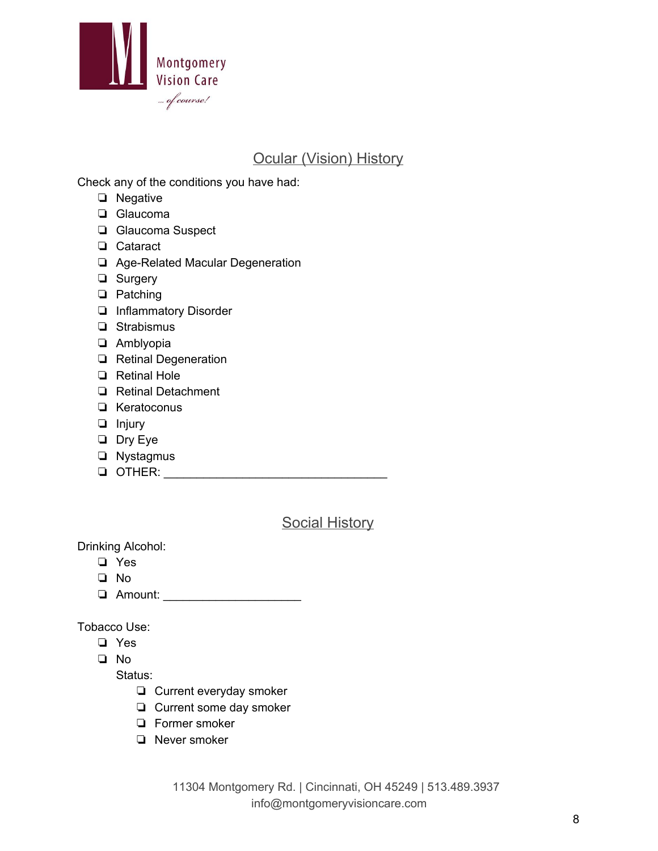

### Ocular (Vision) History

Check any of the conditions you have had:

- ❏ Negative
- ❏ Glaucoma
- ❏ Glaucoma Suspect
- ❏ Cataract
- □ Age-Related Macular Degeneration
- ❏ Surgery
- ❏ Patching
- ❏ Inflammatory Disorder
- ❏ Strabismus
- ❏ Amblyopia
- ❏ Retinal Degeneration
- ❏ Retinal Hole
- ❏ Retinal Detachment
- ❏ Keratoconus
- ❏ Injury
- ❏ Dry Eye
- ❏ Nystagmus
- ❏ OTHER: \_\_\_\_\_\_\_\_\_\_\_\_\_\_\_\_\_\_\_\_\_\_\_\_\_\_\_\_\_\_\_\_\_\_

#### Social History

Drinking Alcohol:

- ❏ Yes
- ❏ No
- ❏ Amount: \_\_\_\_\_\_\_\_\_\_\_\_\_\_\_\_\_\_\_\_\_

Tobacco Use:

- ❏ Yes
- ❏ No

Status:

- ❏ Current everyday smoker
- ❏ Current some day smoker
- ❏ Former smoker
- ❏ Never smoker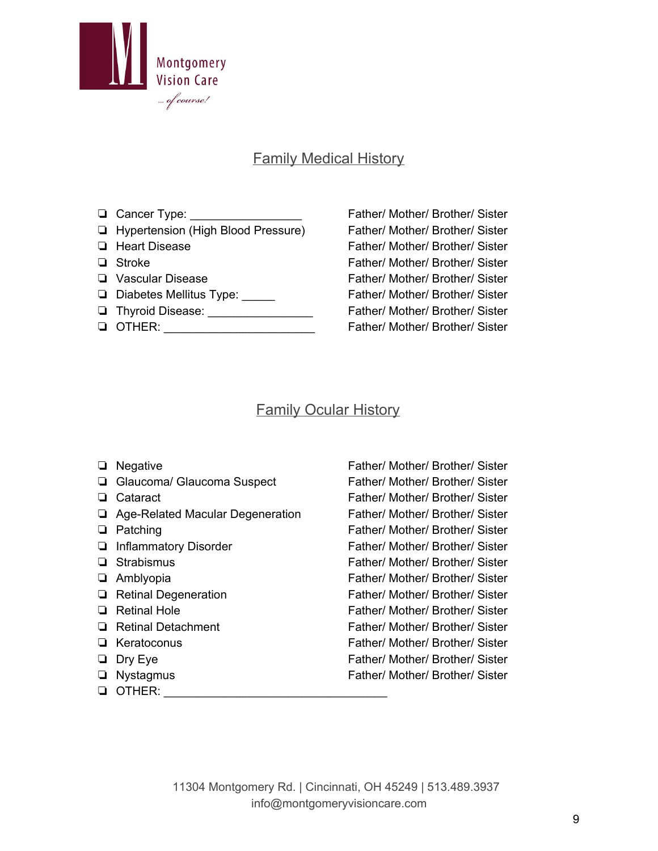

### Family Medical History

- 
- ❏ Hypertension (High Blood Pressure) Father/ Mother/ Brother/ Sister
- 
- 
- 
- 
- 
- 

❏ Cancer Type: \_\_\_\_\_\_\_\_\_\_\_\_\_\_\_\_\_ Father/ Mother/ Brother/ Sister ❏ Heart Disease Father/ Mother/ Brother/ Sister ❏ Stroke Father/ Mother/ Brother/ Sister ❏ Vascular Disease Father/ Mother/ Brother/ Sister ❏ Diabetes Mellitus Type: \_\_\_\_\_ Father/ Mother/ Brother/ Sister ❏ Thyroid Disease: \_\_\_\_\_\_\_\_\_\_\_\_\_\_\_\_ Father/ Mother/ Brother/ Sister ❏ OTHER: \_\_\_\_\_\_\_\_\_\_\_\_\_\_\_\_\_\_\_\_\_\_\_ Father/ Mother/ Brother/ Sister

#### Family Ocular History

- 
- 
- 
- □ Age-Related Macular Degeneration Father/ Mother/ Brother/ Sister
- 
- 
- 
- 
- 
- 
- 
- 
- 
- 
- ❏ OTHER: \_\_\_\_\_\_\_\_\_\_\_\_\_\_\_\_\_\_\_\_\_\_\_\_\_\_\_\_\_\_\_\_\_\_

❏ Negative Father/ Mother/ Brother/ Sister ❏ Glaucoma/ Glaucoma Suspect Father/ Mother/ Brother/ Sister ❏ Cataract Father/ Mother/ Brother/ Sister ❏ Patching Father/ Mother/ Brother/ Sister ❏ Inflammatory Disorder Father/ Mother/ Brother/ Sister ❏ Strabismus Father/ Mother/ Brother/ Sister ❏ Amblyopia Father/ Mother/ Brother/ Sister ❏ Retinal Degeneration Father/ Mother/ Brother/ Sister ❏ Retinal Hole Father/ Mother/ Brother/ Sister ❏ Retinal Detachment Father/ Mother/ Brother/ Sister ❏ Keratoconus Father/ Mother/ Brother/ Sister ❏ Dry Eye Father/ Mother/ Brother/ Sister ❏ Nystagmus Father/ Mother/ Brother/ Sister